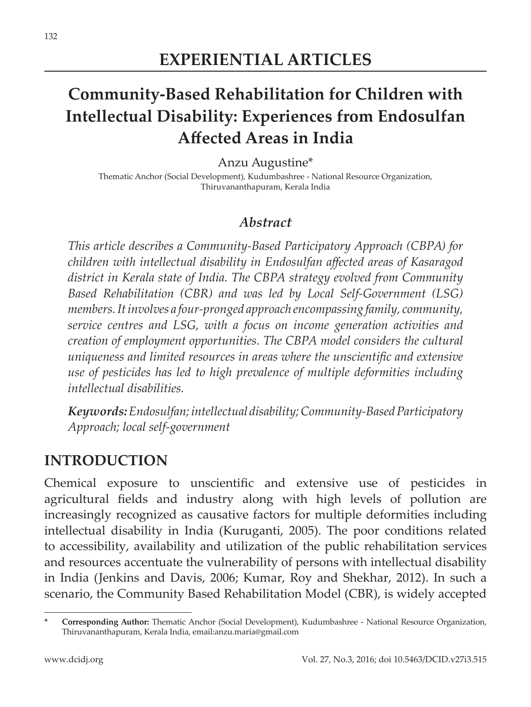# **Community-Based Rehabilitation for Children with Intellectual Disability: Experiences from Endosulfan Affected Areas in India**

Anzu Augustine\*

Thematic Anchor (Social Development), Kudumbashree - National Resource Organization, Thiruvananthapuram, Kerala India

#### *Abstract*

*This article describes a Community-Based Participatory Approach (CBPA) for children with intellectual disability in Endosulfan affected areas of Kasaragod district in Kerala state of India. The CBPA strategy evolved from Community Based Rehabilitation (CBR) and was led by Local Self-Government (LSG) members. It involves a four-pronged approach encompassing family, community, service centres and LSG, with a focus on income generation activities and creation of employment opportunities. The CBPA model considers the cultural uniqueness and limited resources in areas where the unscientific and extensive use of pesticides has led to high prevalence of multiple deformities including intellectual disabilities.* 

*Keywords: Endosulfan; intellectual disability; Community-Based Participatory Approach; local self-government*

## **INTRODUCTION**

Chemical exposure to unscientific and extensive use of pesticides in agricultural fields and industry along with high levels of pollution are increasingly recognized as causative factors for multiple deformities including intellectual disability in India (Kuruganti, 2005). The poor conditions related to accessibility, availability and utilization of the public rehabilitation services and resources accentuate the vulnerability of persons with intellectual disability in India (Jenkins and Davis, 2006; Kumar, Roy and Shekhar, 2012). In such a scenario, the Community Based Rehabilitation Model (CBR), is widely accepted

**<sup>\*</sup> Corresponding Author:** Thematic Anchor (Social Development), Kudumbashree - National Resource Organization, Thiruvananthapuram, Kerala India, email:anzu.maria@gmail.com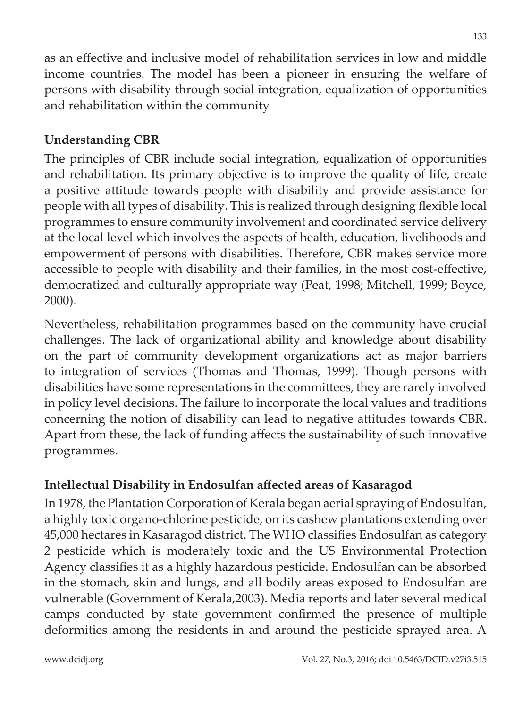as an effective and inclusive model of rehabilitation services in low and middle income countries. The model has been a pioneer in ensuring the welfare of persons with disability through social integration, equalization of opportunities and rehabilitation within the community

## **Understanding CBR**

The principles of CBR include social integration, equalization of opportunities and rehabilitation. Its primary objective is to improve the quality of life, create a positive attitude towards people with disability and provide assistance for people with all types of disability. This is realized through designing flexible local programmes to ensure community involvement and coordinated service delivery at the local level which involves the aspects of health, education, livelihoods and empowerment of persons with disabilities. Therefore, CBR makes service more accessible to people with disability and their families, in the most cost-effective, democratized and culturally appropriate way (Peat, 1998; Mitchell, 1999; Boyce, 2000).

Nevertheless, rehabilitation programmes based on the community have crucial challenges. The lack of organizational ability and knowledge about disability on the part of community development organizations act as major barriers to integration of services (Thomas and Thomas, 1999). Though persons with disabilities have some representations in the committees, they are rarely involved in policy level decisions. The failure to incorporate the local values and traditions concerning the notion of disability can lead to negative attitudes towards CBR. Apart from these, the lack of funding affects the sustainability of such innovative programmes.

## **Intellectual Disability in Endosulfan affected areas of Kasaragod**

In 1978, the Plantation Corporation of Kerala began aerial spraying of Endosulfan, a highly toxic organo-chlorine pesticide, on its cashew plantations extending over 45,000 hectares in Kasaragod district. The WHO classifies Endosulfan as category 2 pesticide which is moderately toxic and the US Environmental Protection Agency classifies it as a highly hazardous pesticide. Endosulfan can be absorbed in the stomach, skin and lungs, and all bodily areas exposed to Endosulfan are vulnerable (Government of Kerala,2003). Media reports and later several medical camps conducted by state government confirmed the presence of multiple deformities among the residents in and around the pesticide sprayed area. A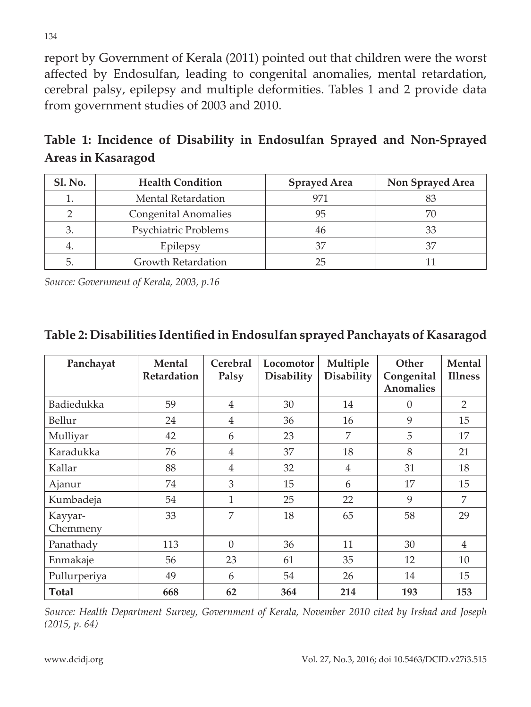report by Government of Kerala (2011) pointed out that children were the worst affected by Endosulfan, leading to congenital anomalies, mental retardation, cerebral palsy, epilepsy and multiple deformities. Tables 1 and 2 provide data from government studies of 2003 and 2010.

**Table 1: Incidence of Disability in Endosulfan Sprayed and Non-Sprayed Areas in Kasaragod**

| <b>Sl. No.</b> | <b>Health Condition</b> | <b>Sprayed Area</b> | Non Sprayed Area |  |
|----------------|-------------------------|---------------------|------------------|--|
|                | Mental Retardation      | 971                 |                  |  |
|                | Congenital Anomalies    | 95                  |                  |  |
|                | Psychiatric Problems    | 46                  |                  |  |
| 4.             | Epilepsy                | 37                  |                  |  |
|                | Growth Retardation      | 25                  |                  |  |

*Source: Government of Kerala, 2003, p.16*

#### **Table 2: Disabilities Identified in Endosulfan sprayed Panchayats of Kasaragod**

| Panchayat           | <b>Mental</b><br>Retardation | Cerebral<br>Palsy | Locomotor<br><b>Disability</b> | Multiple<br><b>Disability</b> | Other<br>Congenital<br><b>Anomalies</b> | <b>Mental</b><br><b>Illness</b> |
|---------------------|------------------------------|-------------------|--------------------------------|-------------------------------|-----------------------------------------|---------------------------------|
| Badiedukka          | 59                           | $\overline{4}$    | 30                             | 14                            | $\Omega$                                | $\mathcal{P}$                   |
| Bellur              | 24                           | $\overline{4}$    | 36                             | 16                            | 9                                       | 15                              |
| Mulliyar            | 42                           | 6                 | 23                             | 7                             | 5                                       | 17                              |
| Karadukka           | 76                           | 4                 | 37                             | 18                            | 8                                       | 21                              |
| Kallar              | 88                           | $\overline{4}$    | 32                             | 4                             | 31                                      | 18                              |
| Ajanur              | 74                           | 3                 | 15                             | 6                             | 17                                      | 15                              |
| Kumbadeja           | 54                           | 1                 | 25                             | 22                            | 9                                       | 7                               |
| Kayyar-<br>Chemmeny | 33                           | 7                 | 18                             | 65                            | 58                                      | 29                              |
| Panathady           | 113                          | $\Omega$          | 36                             | 11                            | 30                                      | $\overline{4}$                  |
| Enmakaje            | 56                           | 23                | 61                             | 35                            | 12                                      | 10                              |
| Pullurperiya        | 49                           | 6                 | 54                             | 26                            | 14                                      | 15                              |
| <b>Total</b>        | 668                          | 62                | 364                            | 214                           | 193                                     | 153                             |

*Source: Health Department Survey, Government of Kerala, November 2010 cited by Irshad and Joseph (2015, p. 64)*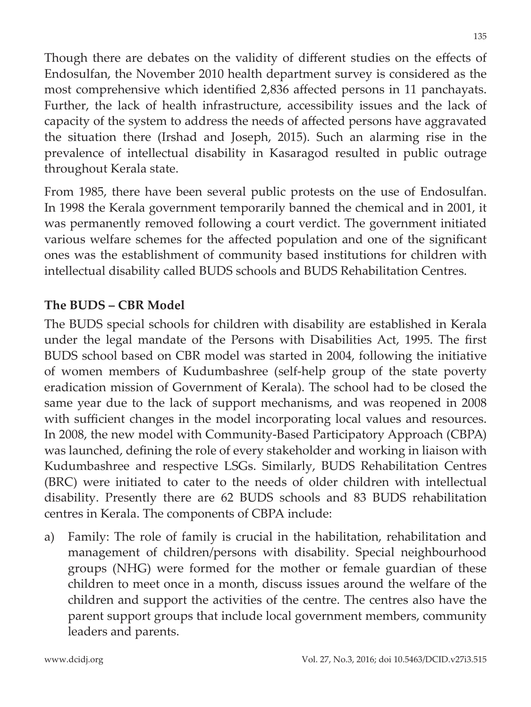Though there are debates on the validity of different studies on the effects of Endosulfan, the November 2010 health department survey is considered as the most comprehensive which identified 2,836 affected persons in 11 panchayats. Further, the lack of health infrastructure, accessibility issues and the lack of capacity of the system to address the needs of affected persons have aggravated the situation there (Irshad and Joseph, 2015). Such an alarming rise in the prevalence of intellectual disability in Kasaragod resulted in public outrage throughout Kerala state.

From 1985, there have been several public protests on the use of Endosulfan. In 1998 the Kerala government temporarily banned the chemical and in 2001, it was permanently removed following a court verdict. The government initiated various welfare schemes for the affected population and one of the significant ones was the establishment of community based institutions for children with intellectual disability called BUDS schools and BUDS Rehabilitation Centres.

## **The BUDS – CBR Model**

The BUDS special schools for children with disability are established in Kerala under the legal mandate of the Persons with Disabilities Act, 1995. The first BUDS school based on CBR model was started in 2004, following the initiative of women members of Kudumbashree (self-help group of the state poverty eradication mission of Government of Kerala). The school had to be closed the same year due to the lack of support mechanisms, and was reopened in 2008 with sufficient changes in the model incorporating local values and resources. In 2008, the new model with Community-Based Participatory Approach (CBPA) was launched, defining the role of every stakeholder and working in liaison with Kudumbashree and respective LSGs. Similarly, BUDS Rehabilitation Centres (BRC) were initiated to cater to the needs of older children with intellectual disability. Presently there are 62 BUDS schools and 83 BUDS rehabilitation centres in Kerala. The components of CBPA include:

a) Family: The role of family is crucial in the habilitation, rehabilitation and management of children/persons with disability. Special neighbourhood groups (NHG) were formed for the mother or female guardian of these children to meet once in a month, discuss issues around the welfare of the children and support the activities of the centre. The centres also have the parent support groups that include local government members, community leaders and parents.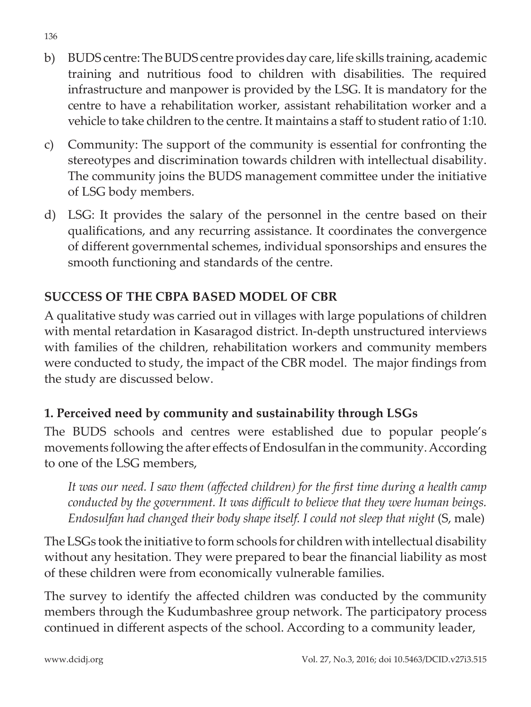- b) BUDS centre: The BUDS centre provides day care, life skills training, academic training and nutritious food to children with disabilities. The required infrastructure and manpower is provided by the LSG. It is mandatory for the centre to have a rehabilitation worker, assistant rehabilitation worker and a vehicle to take children to the centre. It maintains a staff to student ratio of 1:10.
- c) Community: The support of the community is essential for confronting the stereotypes and discrimination towards children with intellectual disability. The community joins the BUDS management committee under the initiative of LSG body members.
- d) LSG: It provides the salary of the personnel in the centre based on their qualifications, and any recurring assistance. It coordinates the convergence of different governmental schemes, individual sponsorships and ensures the smooth functioning and standards of the centre.

## **SUCCESS OF THE CBPA BASED MODEL OF CBR**

A qualitative study was carried out in villages with large populations of children with mental retardation in Kasaragod district. In-depth unstructured interviews with families of the children, rehabilitation workers and community members were conducted to study, the impact of the CBR model. The major findings from the study are discussed below.

## **1. Perceived need by community and sustainability through LSGs**

The BUDS schools and centres were established due to popular people's movements following the after effects of Endosulfan in the community. According to one of the LSG members,

*It was our need. I saw them (affected children) for the first time during a health camp conducted by the government. It was difficult to believe that they were human beings. Endosulfan had changed their body shape itself. I could not sleep that night* (S, male)

The LSGs took the initiative to form schools for children with intellectual disability without any hesitation. They were prepared to bear the financial liability as most of these children were from economically vulnerable families.

The survey to identify the affected children was conducted by the community members through the Kudumbashree group network. The participatory process continued in different aspects of the school. According to a community leader,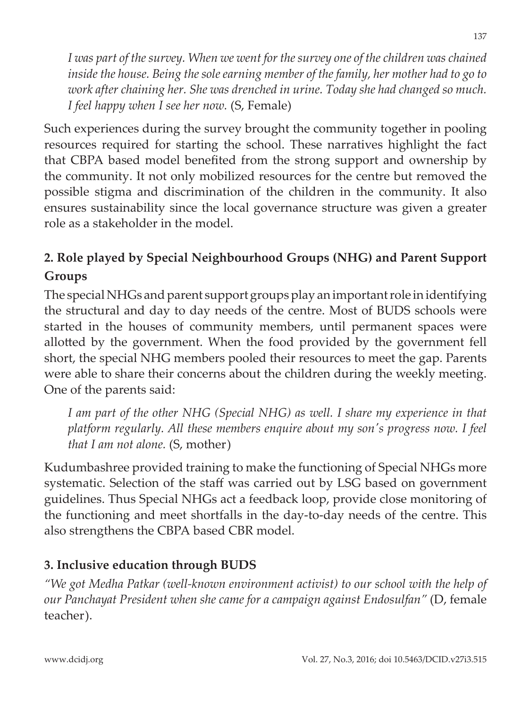*I was part of the survey. When we went for the survey one of the children was chained inside the house. Being the sole earning member of the family, her mother had to go to work after chaining her. She was drenched in urine. Today she had changed so much. I feel happy when I see her now.* (S, Female)

Such experiences during the survey brought the community together in pooling resources required for starting the school. These narratives highlight the fact that CBPA based model benefited from the strong support and ownership by the community. It not only mobilized resources for the centre but removed the possible stigma and discrimination of the children in the community. It also ensures sustainability since the local governance structure was given a greater role as a stakeholder in the model.

## **2. Role played by Special Neighbourhood Groups (NHG) and Parent Support Groups**

The special NHGs and parent support groups play an important role in identifying the structural and day to day needs of the centre. Most of BUDS schools were started in the houses of community members, until permanent spaces were allotted by the government. When the food provided by the government fell short, the special NHG members pooled their resources to meet the gap. Parents were able to share their concerns about the children during the weekly meeting. One of the parents said:

*I am part of the other NHG (Special NHG) as well. I share my experience in that platform regularly. All these members enquire about my son's progress now. I feel that I am not alone.* (S, mother)

Kudumbashree provided training to make the functioning of Special NHGs more systematic. Selection of the staff was carried out by LSG based on government guidelines. Thus Special NHGs act a feedback loop, provide close monitoring of the functioning and meet shortfalls in the day-to-day needs of the centre. This also strengthens the CBPA based CBR model.

## **3. Inclusive education through BUDS**

*"We got Medha Patkar (well-known environment activist) to our school with the help of our Panchayat President when she came for a campaign against Endosulfan"* (D, female teacher).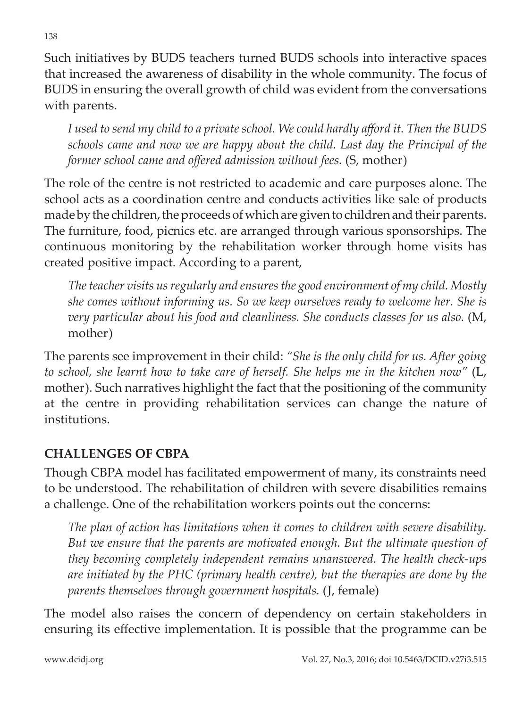Such initiatives by BUDS teachers turned BUDS schools into interactive spaces that increased the awareness of disability in the whole community. The focus of BUDS in ensuring the overall growth of child was evident from the conversations with parents.

*I used to send my child to a private school. We could hardly afford it. Then the BUDS schools came and now we are happy about the child. Last day the Principal of the former school came and offered admission without fees.* (S, mother)

The role of the centre is not restricted to academic and care purposes alone. The school acts as a coordination centre and conducts activities like sale of products made by the children, the proceeds of which are given to children and their parents. The furniture, food, picnics etc. are arranged through various sponsorships. The continuous monitoring by the rehabilitation worker through home visits has created positive impact. According to a parent,

*The teacher visits us regularly and ensures the good environment of my child. Mostly she comes without informing us. So we keep ourselves ready to welcome her. She is very particular about his food and cleanliness. She conducts classes for us also.* (M, mother)

The parents see improvement in their child: *"She is the only child for us. After going to school, she learnt how to take care of herself. She helps me in the kitchen now"* (L, mother). Such narratives highlight the fact that the positioning of the community at the centre in providing rehabilitation services can change the nature of institutions.

## **CHALLENGES OF CBPA**

Though CBPA model has facilitated empowerment of many, its constraints need to be understood. The rehabilitation of children with severe disabilities remains a challenge. One of the rehabilitation workers points out the concerns:

*The plan of action has limitations when it comes to children with severe disability. But we ensure that the parents are motivated enough. But the ultimate question of they becoming completely independent remains unanswered. The health check-ups are initiated by the PHC (primary health centre), but the therapies are done by the parents themselves through government hospitals.* (J, female)

The model also raises the concern of dependency on certain stakeholders in ensuring its effective implementation. It is possible that the programme can be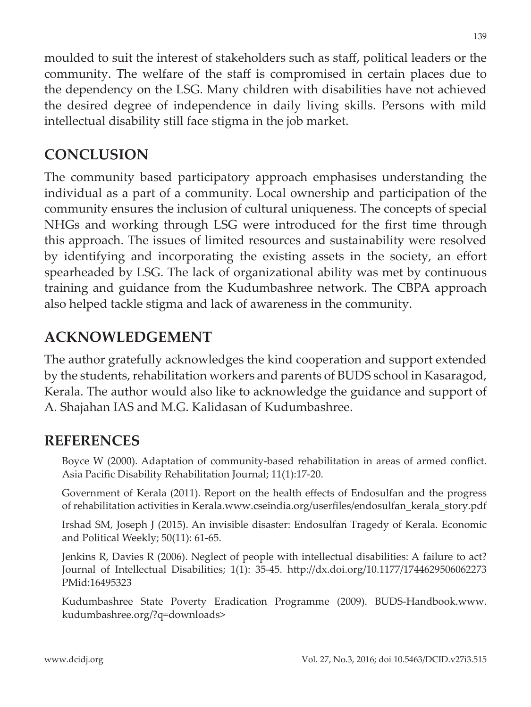moulded to suit the interest of stakeholders such as staff, political leaders or the community. The welfare of the staff is compromised in certain places due to the dependency on the LSG. Many children with disabilities have not achieved the desired degree of independence in daily living skills. Persons with mild intellectual disability still face stigma in the job market.

# **CONCLUSION**

The community based participatory approach emphasises understanding the individual as a part of a community. Local ownership and participation of the community ensures the inclusion of cultural uniqueness. The concepts of special NHGs and working through LSG were introduced for the first time through this approach. The issues of limited resources and sustainability were resolved by identifying and incorporating the existing assets in the society, an effort spearheaded by LSG. The lack of organizational ability was met by continuous training and guidance from the Kudumbashree network. The CBPA approach also helped tackle stigma and lack of awareness in the community.

# **ACKNOWLEDGEMENT**

The author gratefully acknowledges the kind cooperation and support extended by the students, rehabilitation workers and parents of BUDS school in Kasaragod, Kerala. The author would also like to acknowledge the guidance and support of A. Shajahan IAS and M.G. Kalidasan of Kudumbashree.

## **REFERENCES**

Boyce W (2000). Adaptation of community-based rehabilitation in areas of armed conflict. Asia Pacific Disability Rehabilitation Journal; 11(1):17-20.

Government of Kerala (2011). Report on the health effects of Endosulfan and the progress of rehabilitation activities in Kerala.www.cseindia.org/userfiles/endosulfan\_kerala\_story.pdf

Irshad SM, Joseph J (2015). An invisible disaster: Endosulfan Tragedy of Kerala. Economic and Political Weekly; 50(11): 61-65.

Jenkins R, Davies R (2006). Neglect of people with intellectual disabilities: A failure to act? Journal of Intellectual Disabilities; 1(1): 35-45. http://dx.doi.org/10.1177/1744629506062273 PMid:16495323

Kudumbashree State Poverty Eradication Programme (2009). BUDS-Handbook.www. kudumbashree.org/?q=downloads>